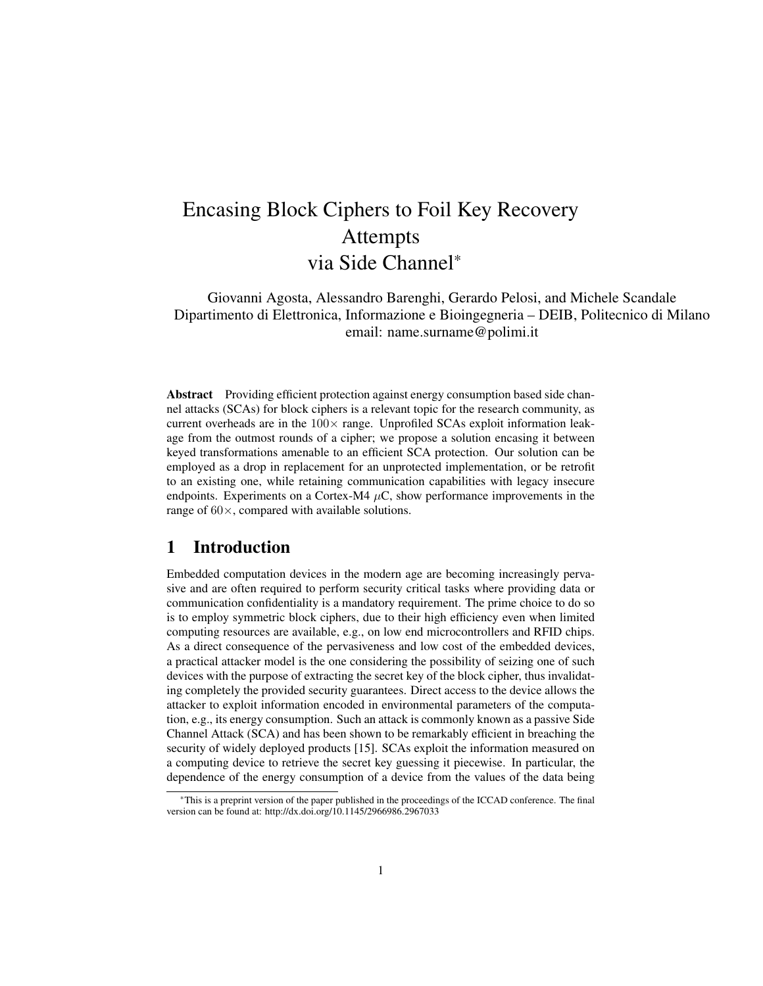# Encasing Block Ciphers to Foil Key Recovery Attempts via Side Channel\*

Giovanni Agosta, Alessandro Barenghi, Gerardo Pelosi, and Michele Scandale Dipartimento di Elettronica, Informazione e Bioingegneria – DEIB, Politecnico di Milano email: name.surname@polimi.it

Abstract Providing efficient protection against energy consumption based side channel attacks (SCAs) for block ciphers is a relevant topic for the research community, as current overheads are in the  $100\times$  range. Unprofiled SCAs exploit information leakage from the outmost rounds of a cipher; we propose a solution encasing it between keyed transformations amenable to an efficient SCA protection. Our solution can be employed as a drop in replacement for an unprotected implementation, or be retrofit to an existing one, while retaining communication capabilities with legacy insecure endpoints. Experiments on a Cortex-M4  $\mu$ C, show performance improvements in the range of  $60 \times$ , compared with available solutions.

## 1 Introduction

Embedded computation devices in the modern age are becoming increasingly pervasive and are often required to perform security critical tasks where providing data or communication confidentiality is a mandatory requirement. The prime choice to do so is to employ symmetric block ciphers, due to their high efficiency even when limited computing resources are available, e.g., on low end microcontrollers and RFID chips. As a direct consequence of the pervasiveness and low cost of the embedded devices, a practical attacker model is the one considering the possibility of seizing one of such devices with the purpose of extracting the secret key of the block cipher, thus invalidating completely the provided security guarantees. Direct access to the device allows the attacker to exploit information encoded in environmental parameters of the computation, e.g., its energy consumption. Such an attack is commonly known as a passive Side Channel Attack (SCA) and has been shown to be remarkably efficient in breaching the security of widely deployed products [15]. SCAs exploit the information measured on a computing device to retrieve the secret key guessing it piecewise. In particular, the dependence of the energy consumption of a device from the values of the data being

<sup>\*</sup>This is a preprint version of the paper published in the proceedings of the ICCAD conference. The final version can be found at: http://dx.doi.org/10.1145/2966986.2967033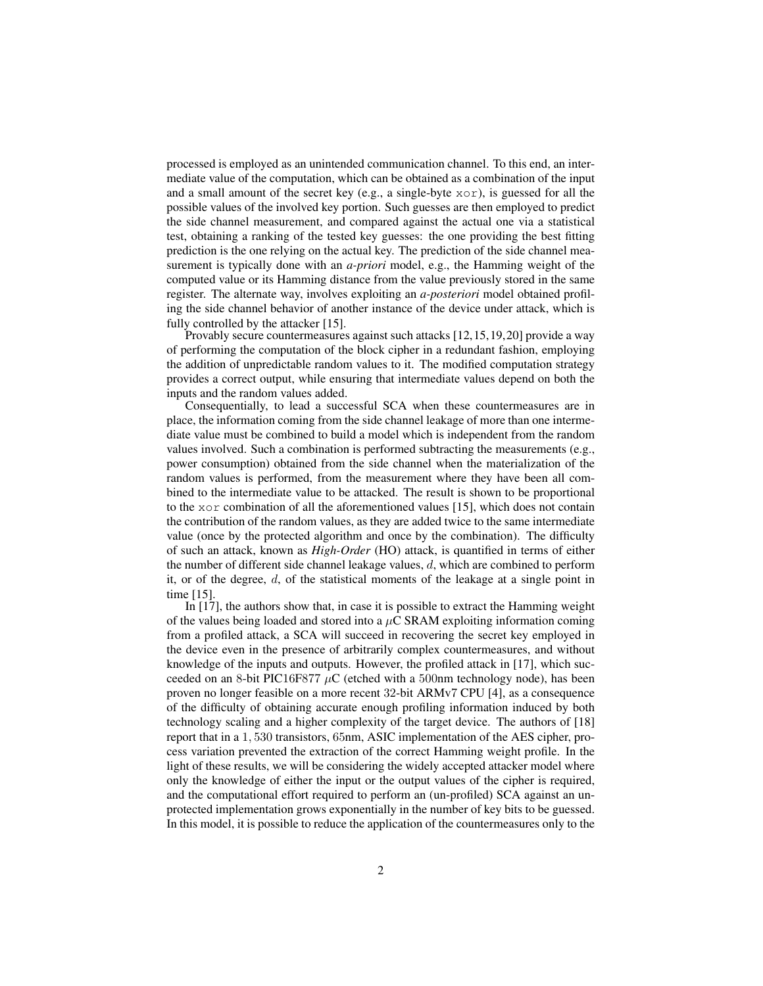processed is employed as an unintended communication channel. To this end, an intermediate value of the computation, which can be obtained as a combination of the input and a small amount of the secret key (e.g., a single-byte  $x \circ r$ ), is guessed for all the possible values of the involved key portion. Such guesses are then employed to predict the side channel measurement, and compared against the actual one via a statistical test, obtaining a ranking of the tested key guesses: the one providing the best fitting prediction is the one relying on the actual key. The prediction of the side channel measurement is typically done with an *a-priori* model, e.g., the Hamming weight of the computed value or its Hamming distance from the value previously stored in the same register. The alternate way, involves exploiting an *a-posteriori* model obtained profiling the side channel behavior of another instance of the device under attack, which is fully controlled by the attacker [15].

Provably secure countermeasures against such attacks [12,15,19,20] provide a way of performing the computation of the block cipher in a redundant fashion, employing the addition of unpredictable random values to it. The modified computation strategy provides a correct output, while ensuring that intermediate values depend on both the inputs and the random values added.

Consequentially, to lead a successful SCA when these countermeasures are in place, the information coming from the side channel leakage of more than one intermediate value must be combined to build a model which is independent from the random values involved. Such a combination is performed subtracting the measurements (e.g., power consumption) obtained from the side channel when the materialization of the random values is performed, from the measurement where they have been all combined to the intermediate value to be attacked. The result is shown to be proportional to the  $x \circ r$  combination of all the aforementioned values [15], which does not contain the contribution of the random values, as they are added twice to the same intermediate value (once by the protected algorithm and once by the combination). The difficulty of such an attack, known as *High-Order* (HO) attack, is quantified in terms of either the number of different side channel leakage values, d, which are combined to perform it, or of the degree, d, of the statistical moments of the leakage at a single point in time [15].

In [17], the authors show that, in case it is possible to extract the Hamming weight of the values being loaded and stored into a  $\mu$ C SRAM exploiting information coming from a profiled attack, a SCA will succeed in recovering the secret key employed in the device even in the presence of arbitrarily complex countermeasures, and without knowledge of the inputs and outputs. However, the profiled attack in [17], which succeeded on an 8-bit PIC16F877  $\mu$ C (etched with a 500nm technology node), has been proven no longer feasible on a more recent 32-bit ARMv7 CPU [4], as a consequence of the difficulty of obtaining accurate enough profiling information induced by both technology scaling and a higher complexity of the target device. The authors of [18] report that in a 1, 530 transistors, 65nm, ASIC implementation of the AES cipher, process variation prevented the extraction of the correct Hamming weight profile. In the light of these results, we will be considering the widely accepted attacker model where only the knowledge of either the input or the output values of the cipher is required, and the computational effort required to perform an (un-profiled) SCA against an unprotected implementation grows exponentially in the number of key bits to be guessed. In this model, it is possible to reduce the application of the countermeasures only to the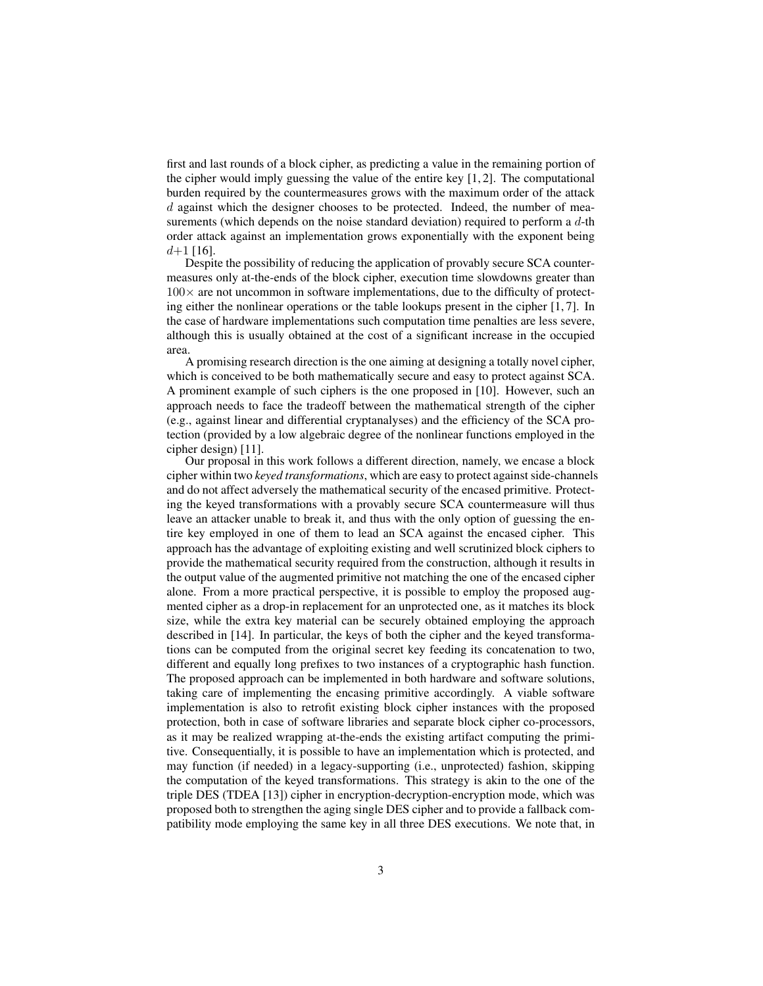first and last rounds of a block cipher, as predicting a value in the remaining portion of the cipher would imply guessing the value of the entire key [1, 2]. The computational burden required by the countermeasures grows with the maximum order of the attack d against which the designer chooses to be protected. Indeed, the number of measurements (which depends on the noise standard deviation) required to perform a  $d$ -th order attack against an implementation grows exponentially with the exponent being  $d+1$  [16].

Despite the possibility of reducing the application of provably secure SCA countermeasures only at-the-ends of the block cipher, execution time slowdowns greater than  $100\times$  are not uncommon in software implementations, due to the difficulty of protecting either the nonlinear operations or the table lookups present in the cipher [1, 7]. In the case of hardware implementations such computation time penalties are less severe, although this is usually obtained at the cost of a significant increase in the occupied area.

A promising research direction is the one aiming at designing a totally novel cipher, which is conceived to be both mathematically secure and easy to protect against SCA. A prominent example of such ciphers is the one proposed in [10]. However, such an approach needs to face the tradeoff between the mathematical strength of the cipher (e.g., against linear and differential cryptanalyses) and the efficiency of the SCA protection (provided by a low algebraic degree of the nonlinear functions employed in the cipher design) [11].

Our proposal in this work follows a different direction, namely, we encase a block cipher within two *keyed transformations*, which are easy to protect against side-channels and do not affect adversely the mathematical security of the encased primitive. Protecting the keyed transformations with a provably secure SCA countermeasure will thus leave an attacker unable to break it, and thus with the only option of guessing the entire key employed in one of them to lead an SCA against the encased cipher. This approach has the advantage of exploiting existing and well scrutinized block ciphers to provide the mathematical security required from the construction, although it results in the output value of the augmented primitive not matching the one of the encased cipher alone. From a more practical perspective, it is possible to employ the proposed augmented cipher as a drop-in replacement for an unprotected one, as it matches its block size, while the extra key material can be securely obtained employing the approach described in [14]. In particular, the keys of both the cipher and the keyed transformations can be computed from the original secret key feeding its concatenation to two, different and equally long prefixes to two instances of a cryptographic hash function. The proposed approach can be implemented in both hardware and software solutions, taking care of implementing the encasing primitive accordingly. A viable software implementation is also to retrofit existing block cipher instances with the proposed protection, both in case of software libraries and separate block cipher co-processors, as it may be realized wrapping at-the-ends the existing artifact computing the primitive. Consequentially, it is possible to have an implementation which is protected, and may function (if needed) in a legacy-supporting (i.e., unprotected) fashion, skipping the computation of the keyed transformations. This strategy is akin to the one of the triple DES (TDEA [13]) cipher in encryption-decryption-encryption mode, which was proposed both to strengthen the aging single DES cipher and to provide a fallback compatibility mode employing the same key in all three DES executions. We note that, in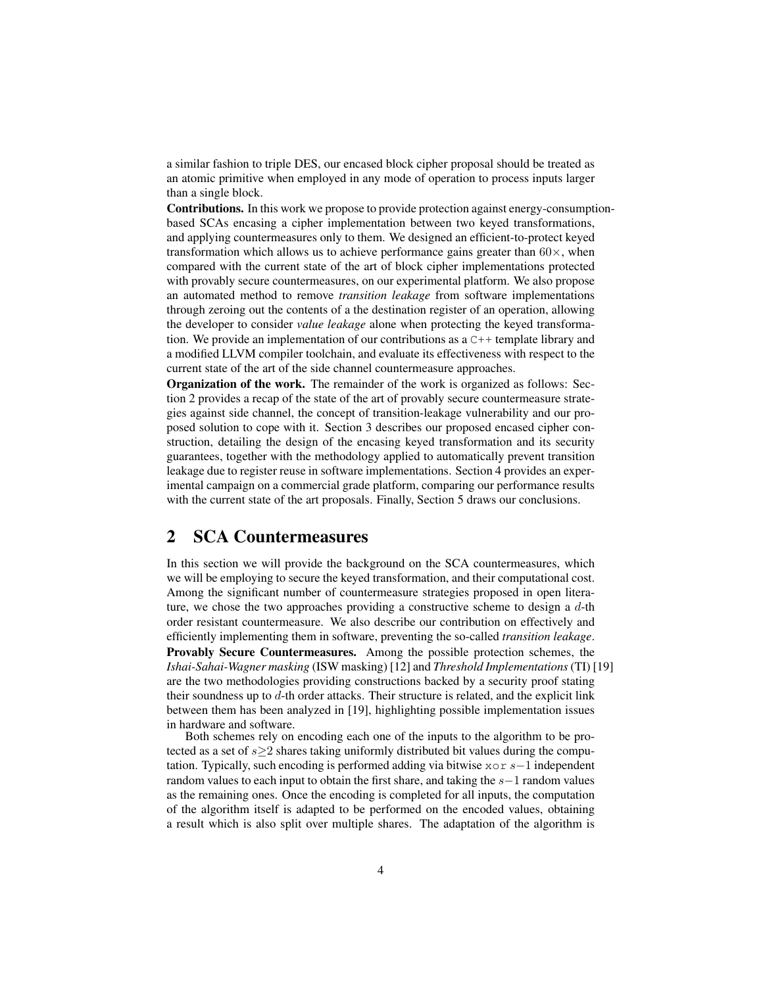a similar fashion to triple DES, our encased block cipher proposal should be treated as an atomic primitive when employed in any mode of operation to process inputs larger than a single block.

Contributions. In this work we propose to provide protection against energy-consumptionbased SCAs encasing a cipher implementation between two keyed transformations, and applying countermeasures only to them. We designed an efficient-to-protect keyed transformation which allows us to achieve performance gains greater than  $60\times$ , when compared with the current state of the art of block cipher implementations protected with provably secure countermeasures, on our experimental platform. We also propose an automated method to remove *transition leakage* from software implementations through zeroing out the contents of a the destination register of an operation, allowing the developer to consider *value leakage* alone when protecting the keyed transformation. We provide an implementation of our contributions as  $a^c + t$  template library and a modified LLVM compiler toolchain, and evaluate its effectiveness with respect to the current state of the art of the side channel countermeasure approaches.

Organization of the work. The remainder of the work is organized as follows: Section 2 provides a recap of the state of the art of provably secure countermeasure strategies against side channel, the concept of transition-leakage vulnerability and our proposed solution to cope with it. Section 3 describes our proposed encased cipher construction, detailing the design of the encasing keyed transformation and its security guarantees, together with the methodology applied to automatically prevent transition leakage due to register reuse in software implementations. Section 4 provides an experimental campaign on a commercial grade platform, comparing our performance results with the current state of the art proposals. Finally, Section 5 draws our conclusions.

### 2 SCA Countermeasures

In this section we will provide the background on the SCA countermeasures, which we will be employing to secure the keyed transformation, and their computational cost. Among the significant number of countermeasure strategies proposed in open literature, we chose the two approaches providing a constructive scheme to design a  $d$ -th order resistant countermeasure. We also describe our contribution on effectively and efficiently implementing them in software, preventing the so-called *transition leakage*. Provably Secure Countermeasures. Among the possible protection schemes, the *Ishai-Sahai-Wagner masking* (ISW masking) [12] and *Threshold Implementations*(TI) [19] are the two methodologies providing constructions backed by a security proof stating their soundness up to d-th order attacks. Their structure is related, and the explicit link between them has been analyzed in [19], highlighting possible implementation issues in hardware and software.

Both schemes rely on encoding each one of the inputs to the algorithm to be protected as a set of  $s \geq 2$  shares taking uniformly distributed bit values during the computation. Typically, such encoding is performed adding via bitwise xor s−1 independent random values to each input to obtain the first share, and taking the s−1 random values as the remaining ones. Once the encoding is completed for all inputs, the computation of the algorithm itself is adapted to be performed on the encoded values, obtaining a result which is also split over multiple shares. The adaptation of the algorithm is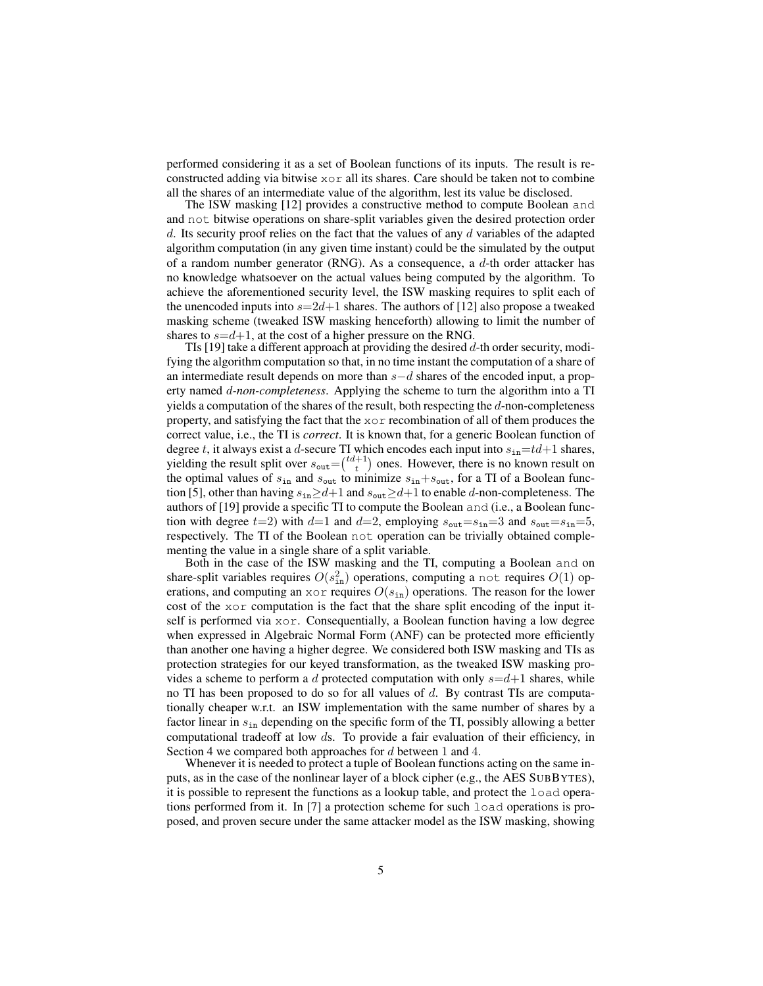performed considering it as a set of Boolean functions of its inputs. The result is reconstructed adding via bitwise  $x \circ r$  all its shares. Care should be taken not to combine all the shares of an intermediate value of the algorithm, lest its value be disclosed.

The ISW masking [12] provides a constructive method to compute Boolean and and not bitwise operations on share-split variables given the desired protection order d. Its security proof relies on the fact that the values of any d variables of the adapted algorithm computation (in any given time instant) could be the simulated by the output of a random number generator (RNG). As a consequence, a  $d$ -th order attacker has no knowledge whatsoever on the actual values being computed by the algorithm. To achieve the aforementioned security level, the ISW masking requires to split each of the unencoded inputs into  $s=2d+1$  shares. The authors of [12] also propose a tweaked masking scheme (tweaked ISW masking henceforth) allowing to limit the number of shares to  $s=d+1$ , at the cost of a higher pressure on the RNG.

TIs [19] take a different approach at providing the desired  $d$ -th order security, modifying the algorithm computation so that, in no time instant the computation of a share of an intermediate result depends on more than s−d shares of the encoded input, a property named d*-non-completeness*. Applying the scheme to turn the algorithm into a TI yields a computation of the shares of the result, both respecting the  $d$ -non-completeness property, and satisfying the fact that the xor recombination of all of them produces the correct value, i.e., the TI is *correct*. It is known that, for a generic Boolean function of degree t, it always exist a d-secure TI which encodes each input into  $s_{in}=td+1$  shares, yielding the result split over  $s_{\text{out}} = \binom{td+1}{t}$  ones. However, there is no known result on the optimal values of  $s_{in}$  and  $s_{out}$  to minimize  $s_{in}+s_{out}$ , for a TI of a Boolean function [5], other than having  $s_{in} \ge d+1$  and  $s_{out} \ge d+1$  to enable d-non-completeness. The authors of [19] provide a specific TI to compute the Boolean and (i.e., a Boolean function with degree  $t=2$ ) with  $d=1$  and  $d=2$ , employing  $s_{\text{out}}=s_{\text{in}}=3$  and  $s_{\text{out}}=s_{\text{in}}=5$ , respectively. The TI of the Boolean not operation can be trivially obtained complementing the value in a single share of a split variable.

Both in the case of the ISW masking and the TI, computing a Boolean and on share-split variables requires  $O(s_{\text{in}}^2)$  operations, computing a not requires  $O(1)$  operations, and computing an  $x \circ r$  requires  $O(s_{in})$  operations. The reason for the lower cost of the xor computation is the fact that the share split encoding of the input itself is performed via xor. Consequentially, a Boolean function having a low degree when expressed in Algebraic Normal Form (ANF) can be protected more efficiently than another one having a higher degree. We considered both ISW masking and TIs as protection strategies for our keyed transformation, as the tweaked ISW masking provides a scheme to perform a d protected computation with only  $s=d+1$  shares, while no TI has been proposed to do so for all values of  $d$ . By contrast TIs are computationally cheaper w.r.t. an ISW implementation with the same number of shares by a factor linear in  $s_{in}$  depending on the specific form of the TI, possibly allowing a better computational tradeoff at low ds. To provide a fair evaluation of their efficiency, in Section 4 we compared both approaches for d between 1 and 4.

Whenever it is needed to protect a tuple of Boolean functions acting on the same inputs, as in the case of the nonlinear layer of a block cipher (e.g., the AES SUBBYTES), it is possible to represent the functions as a lookup table, and protect the load operations performed from it. In [7] a protection scheme for such load operations is proposed, and proven secure under the same attacker model as the ISW masking, showing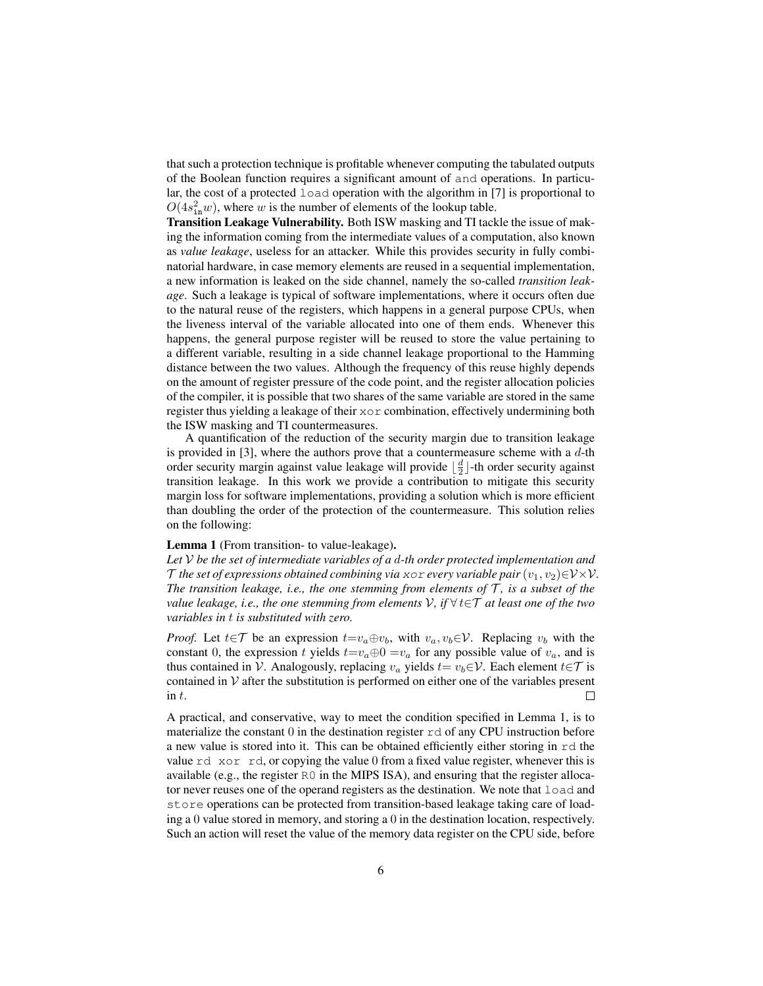that such a protection technique is profitable whenever computing the tabulated outputs of the Boolean function requires a significant amount of and operations. In particular, the cost of a protected load operation with the algorithm in [7] is proportional to  $O(4s_{\text{in}}^2 w)$ , where w is the number of elements of the lookup table.

Transition Leakage Vulnerability. Both ISW masking and TI tackle the issue of making the information coming from the intermediate values of a computation, also known as *value leakage*, useless for an attacker. While this provides security in fully combinatorial hardware, in case memory elements are reused in a sequential implementation, a new information is leaked on the side channel, namely the so-called *transition leakage*. Such a leakage is typical of software implementations, where it occurs often due to the natural reuse of the registers, which happens in a general purpose CPUs, when the liveness interval of the variable allocated into one of them ends. Whenever this happens, the general purpose register will be reused to store the value pertaining to a different variable, resulting in a side channel leakage proportional to the Hamming distance between the two values. Although the frequency of this reuse highly depends on the amount of register pressure of the code point, and the register allocation policies of the compiler, it is possible that two shares of the same variable are stored in the same register thus yielding a leakage of their xor combination, effectively undermining both the ISW masking and TI countermeasures.

A quantification of the reduction of the security margin due to transition leakage is provided in  $[3]$ , where the authors prove that a countermeasure scheme with a  $d$ -th order security margin against value leakage will provide  $\lfloor \frac{d}{2} \rfloor$ -th order security against transition leakage. In this work we provide a contribution to mitigate this security margin loss for software implementations, providing a solution which is more efficient than doubling the order of the protection of the countermeasure. This solution relies on the following:

#### Lemma 1 (From transition- to value-leakage).

*Let* V *be the set of intermediate variables of a* d*-th order protected implementation and* T the set of expressions obtained combining via xor every variable pair  $(v_1, v_2) \in V \times V$ . *The transition leakage, i.e., the one stemming from elements of*  $T$ *, is a subset of the value leakage, i.e., the one stemming from elements* V*, if* ∀ t∈T *at least one of the two variables in* t *is substituted with zero.*

*Proof.* Let  $t \in \mathcal{T}$  be an expression  $t = v_a \oplus v_b$ , with  $v_a, v_b \in \mathcal{V}$ . Replacing  $v_b$  with the constant 0, the expression t yields  $t=v_a\oplus 0=v_a$  for any possible value of  $v_a$ , and is thus contained in V. Analogously, replacing  $v_a$  yields  $t = v_b \in V$ . Each element  $t \in \mathcal{T}$  is contained in  $V$  after the substitution is performed on either one of the variables present in t.  $\Box$ 

A practical, and conservative, way to meet the condition specified in Lemma 1, is to materialize the constant 0 in the destination register  $r d$  of any CPU instruction before a new value is stored into it. This can be obtained efficiently either storing in  $rd$  the value  $rd \times \text{cor } rd$ , or copying the value 0 from a fixed value register, whenever this is available (e.g., the register  $R0$  in the MIPS ISA), and ensuring that the register allocator never reuses one of the operand registers as the destination. We note that load and store operations can be protected from transition-based leakage taking care of loading a 0 value stored in memory, and storing a 0 in the destination location, respectively. Such an action will reset the value of the memory data register on the CPU side, before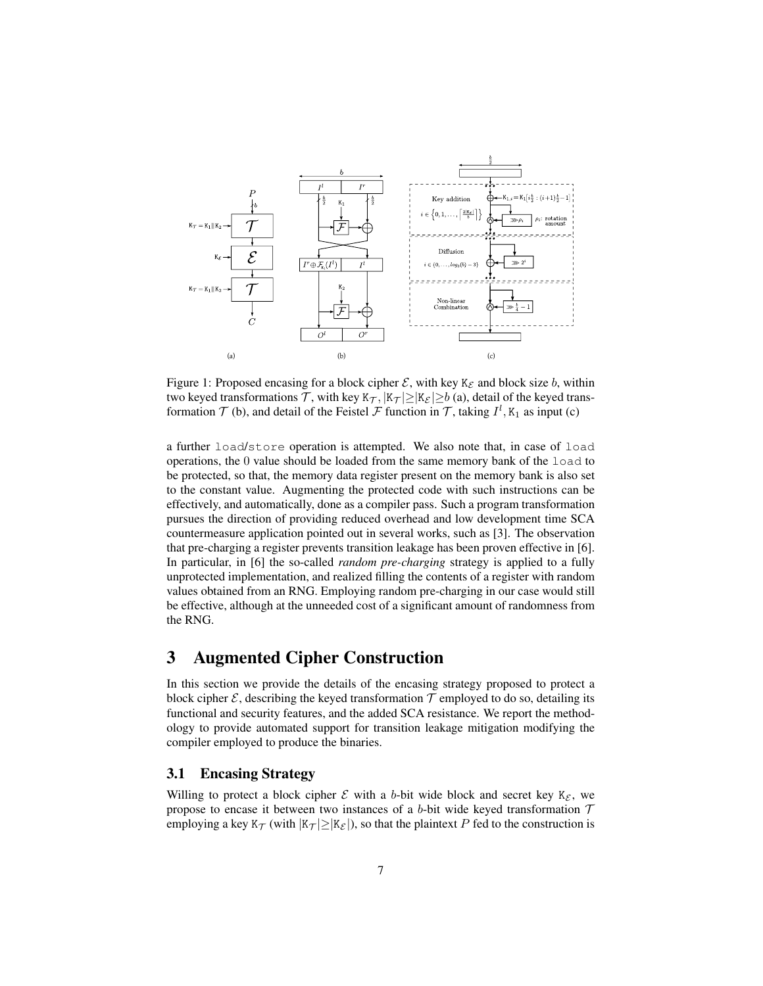

Figure 1: Proposed encasing for a block cipher  $\mathcal{E}$ , with key K<sub> $\mathcal{E}$ </sub> and block size b, within two keyed transformations T, with key  $K_{\mathcal{T}}$ ,  $|K_{\mathcal{T}}| \geq |K_{\mathcal{E}}| \geq b$  (a), detail of the keyed transformation  $\mathcal T$  (b), and detail of the Feistel  $\mathcal F$  function in  $\mathcal T$ , taking  $I^l$ ,  $K_1$  as input (c)

a further load/store operation is attempted. We also note that, in case of load operations, the  $0$  value should be loaded from the same memory bank of the  $1$ oad to be protected, so that, the memory data register present on the memory bank is also set to the constant value. Augmenting the protected code with such instructions can be effectively, and automatically, done as a compiler pass. Such a program transformation pursues the direction of providing reduced overhead and low development time SCA countermeasure application pointed out in several works, such as [3]. The observation that pre-charging a register prevents transition leakage has been proven effective in [6]. In particular, in [6] the so-called *random pre-charging* strategy is applied to a fully unprotected implementation, and realized filling the contents of a register with random values obtained from an RNG. Employing random pre-charging in our case would still be effective, although at the unneeded cost of a significant amount of randomness from the RNG.

# 3 Augmented Cipher Construction

In this section we provide the details of the encasing strategy proposed to protect a block cipher  $\mathcal{E}$ , describing the keyed transformation  $\mathcal{T}$  employed to do so, detailing its functional and security features, and the added SCA resistance. We report the methodology to provide automated support for transition leakage mitigation modifying the compiler employed to produce the binaries.

#### 3.1 Encasing Strategy

Willing to protect a block cipher  $\mathcal E$  with a b-bit wide block and secret key  $K_{\mathcal E}$ , we propose to encase it between two instances of a b-bit wide keyed transformation  $T$ employing a key  $K_{\mathcal{T}}$  (with  $|K_{\mathcal{T}}| \geq |K_{\mathcal{E}}|$ ), so that the plaintext P fed to the construction is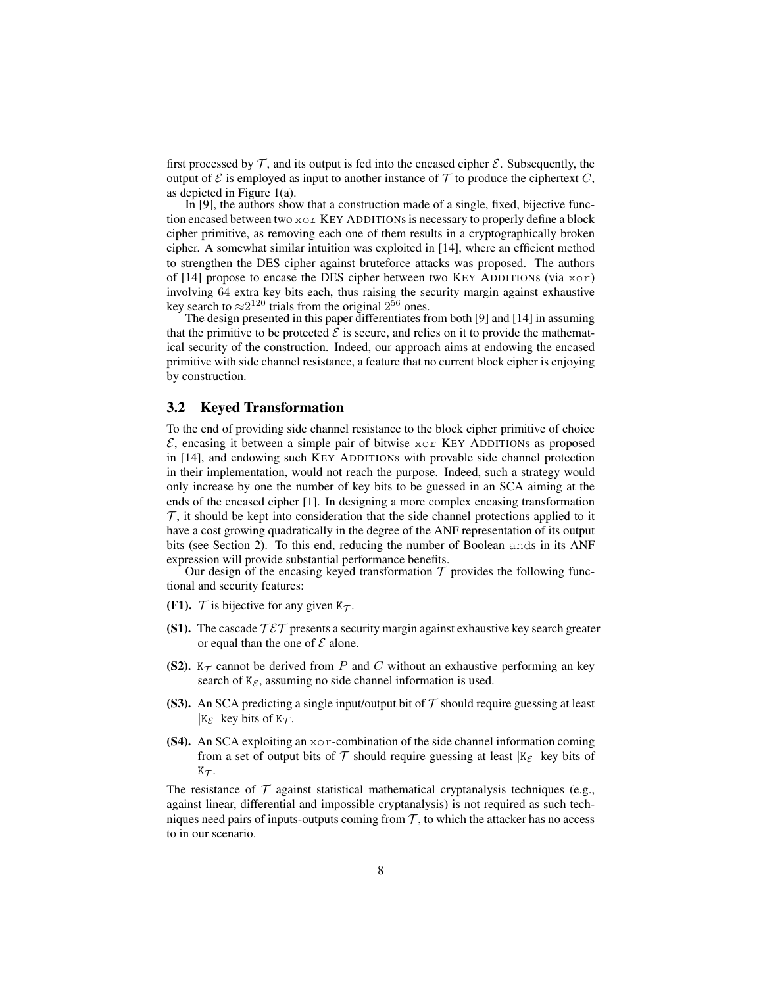first processed by  $\mathcal T$ , and its output is fed into the encased cipher  $\mathcal E$ . Subsequently, the output of  $\mathcal E$  is employed as input to another instance of  $\mathcal T$  to produce the ciphertext  $C$ , as depicted in Figure 1(a).

In [9], the authors show that a construction made of a single, fixed, bijective function encased between two  $x \circ r$  KEY ADDITIONs is necessary to properly define a block cipher primitive, as removing each one of them results in a cryptographically broken cipher. A somewhat similar intuition was exploited in [14], where an efficient method to strengthen the DES cipher against bruteforce attacks was proposed. The authors of [14] propose to encase the DES cipher between two KEY ADDITIONs (via xor) involving 64 extra key bits each, thus raising the security margin against exhaustive key search to  $\approx$  2<sup>120</sup> trials from the original 2<sup>56</sup> ones.

The design presented in this paper differentiates from both [9] and [14] in assuming that the primitive to be protected  $\mathcal E$  is secure, and relies on it to provide the mathematical security of the construction. Indeed, our approach aims at endowing the encased primitive with side channel resistance, a feature that no current block cipher is enjoying by construction.

#### 3.2 Keyed Transformation

To the end of providing side channel resistance to the block cipher primitive of choice  $\mathcal{E}$ , encasing it between a simple pair of bitwise xor KEY ADDITIONs as proposed in [14], and endowing such KEY ADDITIONs with provable side channel protection in their implementation, would not reach the purpose. Indeed, such a strategy would only increase by one the number of key bits to be guessed in an SCA aiming at the ends of the encased cipher [1]. In designing a more complex encasing transformation  $\tau$ , it should be kept into consideration that the side channel protections applied to it have a cost growing quadratically in the degree of the ANF representation of its output bits (see Section 2). To this end, reducing the number of Boolean ands in its ANF expression will provide substantial performance benefits.

Our design of the encasing keyed transformation  $\mathcal T$  provides the following functional and security features:

- (F1).  $\mathcal T$  is bijective for any given  $K_{\mathcal T}$ .
- (S1). The cascade  $\mathcal{T} \mathcal{E} \mathcal{T}$  presents a security margin against exhaustive key search greater or equal than the one of  $\mathcal E$  alone.
- (S2).  $K_{\mathcal{T}}$  cannot be derived from P and C without an exhaustive performing an key search of  $K_{\mathcal{E}}$ , assuming no side channel information is used.
- (S3). An SCA predicting a single input/output bit of  $\mathcal T$  should require guessing at least  $|K_{\mathcal{E}}|$  key bits of  $K_{\mathcal{T}}$ .
- (S4). An SCA exploiting an xor-combination of the side channel information coming from a set of output bits of T should require guessing at least  $|K_{\mathcal{E}}|$  key bits of  $K_{\mathcal{T}}$ .

The resistance of  $\mathcal T$  against statistical mathematical cryptanalysis techniques (e.g., against linear, differential and impossible cryptanalysis) is not required as such techniques need pairs of inputs-outputs coming from  $\mathcal T$ , to which the attacker has no access to in our scenario.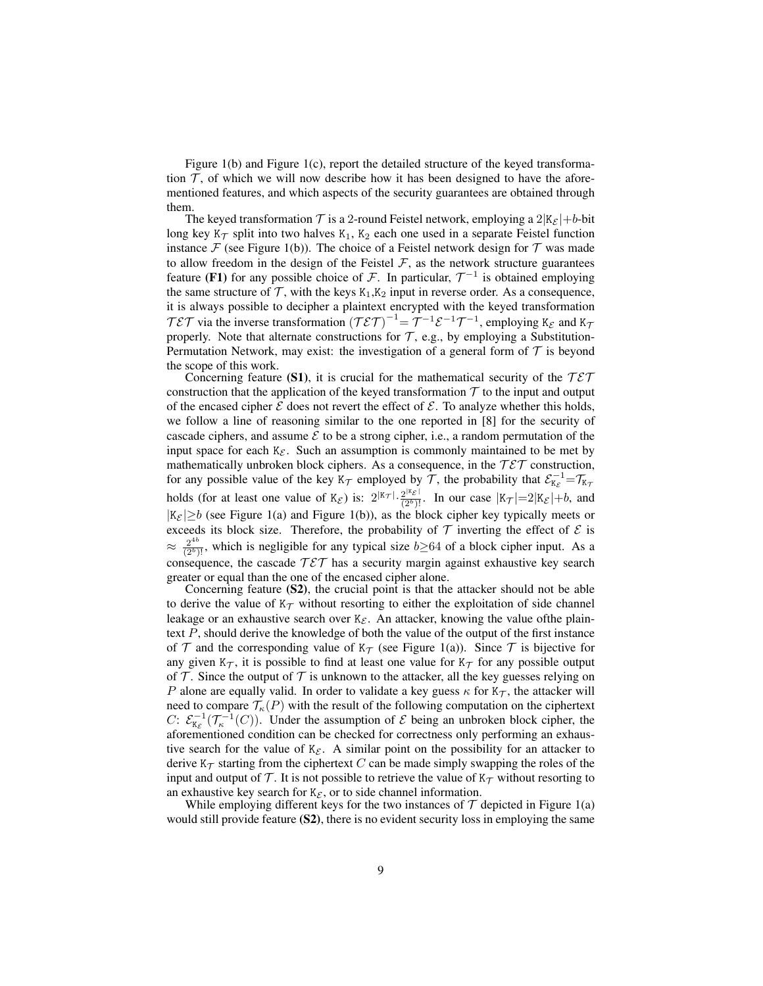Figure 1(b) and Figure 1(c), report the detailed structure of the keyed transformation  $\mathcal{T}$ , of which we will now describe how it has been designed to have the aforementioned features, and which aspects of the security guarantees are obtained through them.

The keyed transformation  $\mathcal T$  is a 2-round Feistel network, employing a  $2|K_{\mathcal E}|+b$ -bit long key K $\tau$  split into two halves K<sub>1</sub>, K<sub>2</sub> each one used in a separate Feistel function instance  $\mathcal F$  (see Figure 1(b)). The choice of a Feistel network design for  $\mathcal T$  was made to allow freedom in the design of the Feistel  $\mathcal F$ , as the network structure guarantees feature (F1) for any possible choice of  $\mathcal F$ . In particular,  $\mathcal T^{-1}$  is obtained employing the same structure of  $\mathcal T$ , with the keys  $K_1,K_2$  input in reverse order. As a consequence, it is always possible to decipher a plaintext encrypted with the keyed transformation  $T \mathcal{E} \mathcal{T}$  via the inverse transformation  $(T \mathcal{E} \mathcal{T})^{-1} = \mathcal{T}^{-1} \mathcal{E}^{-1} \mathcal{T}^{-1}$ , employing  $K_{\mathcal{E}}$  and  $K_{\mathcal{T}}$ properly. Note that alternate constructions for  $\mathcal{T}$ , e.g., by employing a Substitution-Permutation Network, may exist: the investigation of a general form of  $\mathcal T$  is beyond the scope of this work.

Concerning feature (S1), it is crucial for the mathematical security of the  $\mathcal{T} \mathcal{E} \mathcal{T}$ construction that the application of the keyed transformation  $T$  to the input and output of the encased cipher  $\mathcal E$  does not revert the effect of  $\mathcal E$ . To analyze whether this holds, we follow a line of reasoning similar to the one reported in [8] for the security of cascade ciphers, and assume  $\mathcal E$  to be a strong cipher, i.e., a random permutation of the input space for each  $K_{\mathcal{E}}$ . Such an assumption is commonly maintained to be met by mathematically unbroken block ciphers. As a consequence, in the  $T \mathcal{E} \mathcal{T}$  construction, for any possible value of the key  $K_{\mathcal{T}}$  employed by  $\bar{\mathcal{T}}$ , the probability that  $\mathcal{E}_{K_{\mathcal{E}}}^{-1} = \mathcal{T}_{K_{\mathcal{T}}}$ holds (for at least one value of  $K_{\mathcal{E}}$ ) is:  $2^{|K_{\mathcal{T}}|} \cdot \frac{2^{|K_{\mathcal{E}}|}}{(2^b)!}$ . In our case  $|K_{\mathcal{T}}| = 2|K_{\mathcal{E}}| + b$ , and  $|K_{\mathcal{E}}| \ge b$  (see Figure 1(a) and Figure 1(b)), as the block cipher key typically meets or exceeds its block size. Therefore, the probability of  $T$  inverting the effect of  $\mathcal E$  is  $\approx \frac{2^{4b}}{(2^b)!}$ , which is negligible for any typical size  $b \ge 64$  of a block cipher input. As a consequence, the cascade  $T \mathcal{E} \mathcal{T}$  has a security margin against exhaustive key search greater or equal than the one of the encased cipher alone.

Concerning feature (S2), the crucial point is that the attacker should not be able to derive the value of  $K_{\mathcal{T}}$  without resorting to either the exploitation of side channel leakage or an exhaustive search over  $K_{\mathcal{E}}$ . An attacker, knowing the value of the plaintext  $P$ , should derive the knowledge of both the value of the output of the first instance of  $\mathcal T$  and the corresponding value of  $K_{\mathcal T}$  (see Figure 1(a)). Since  $\mathcal T$  is bijective for any given  $K_{\mathcal{T}}$ , it is possible to find at least one value for  $K_{\mathcal{T}}$  for any possible output of  $\mathcal T$ . Since the output of  $\mathcal T$  is unknown to the attacker, all the key guesses relying on P alone are equally valid. In order to validate a key guess  $\kappa$  for  $K_{\mathcal{T}}$ , the attacker will need to compare  $\mathcal{T}_{\kappa}(P)$  with the result of the following computation on the ciphertext C:  $\mathcal{E}_{K_{\varepsilon}}^{-1}(\mathcal{T}_{\kappa}^{-1}(C))$ . Under the assumption of  $\mathcal E$  being an unbroken block cipher, the aforementioned condition can be checked for correctness only performing an exhaustive search for the value of  $K_{\mathcal{E}}$ . A similar point on the possibility for an attacker to derive  $K_{\mathcal{T}}$  starting from the ciphertext C can be made simply swapping the roles of the input and output of T. It is not possible to retrieve the value of  $K<sub>T</sub>$  without resorting to an exhaustive key search for  $K_{\mathcal{E}}$ , or to side channel information.

While employing different keys for the two instances of  $\mathcal T$  depicted in Figure 1(a) would still provide feature (S2), there is no evident security loss in employing the same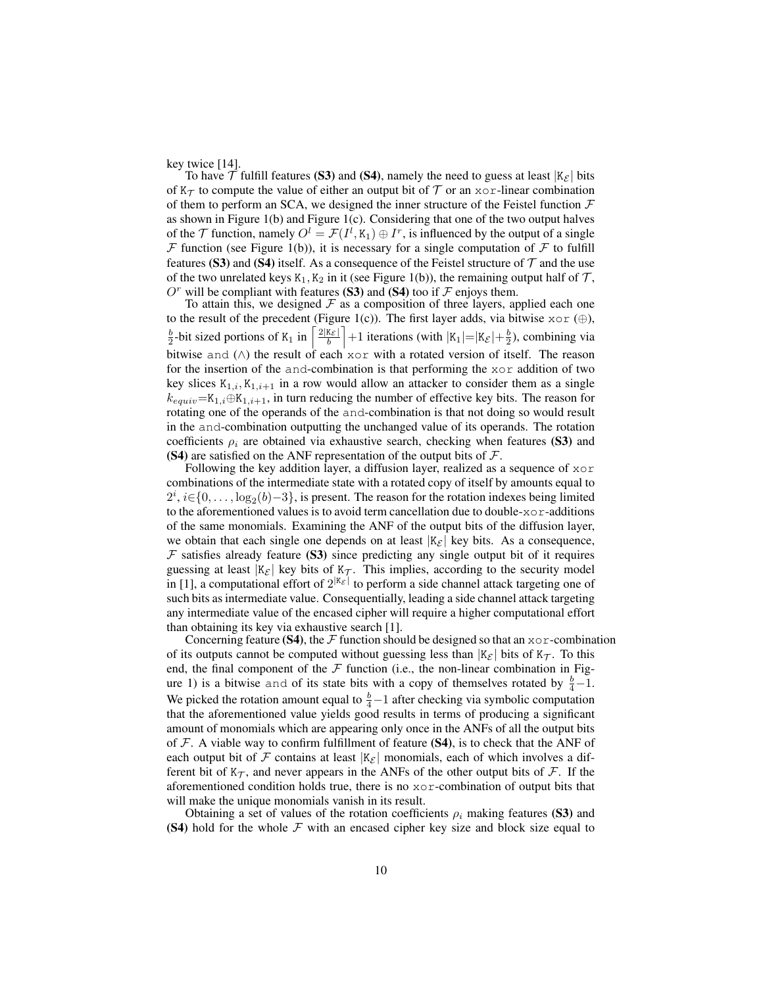key twice [14].

To have  $\mathcal T$  fulfill features (S3) and (S4), namely the need to guess at least  $|K_{\mathcal{E}}|$  bits of  $K_{\mathcal{T}}$  to compute the value of either an output bit of  $\mathcal T$  or an xor-linear combination of them to perform an SCA, we designed the inner structure of the Feistel function  $\mathcal F$ as shown in Figure 1(b) and Figure 1(c). Considering that one of the two output halves of the  $\mathcal T$  function, namely  $O^l = \mathcal F(I^l, K_1) \oplus I^r$ , is influenced by the output of a single  $F$  function (see Figure 1(b)), it is necessary for a single computation of  $F$  to fulfill features (S3) and (S4) itself. As a consequence of the Feistel structure of  $\mathcal T$  and the use of the two unrelated keys  $K_1, K_2$  in it (see Figure 1(b)), the remaining output half of  $\mathcal{T}$ , will be compliant with features (S3) and (S4) too if  $\mathcal F$  enjoys them.

To attain this, we designed  $\mathcal F$  as a composition of three layers, applied each one to the result of the precedent (Figure 1(c)). The first layer adds, via bitwise  $x \circ r \oplus$ ),  $\frac{b}{2}$ -bit sized portions of K<sub>1</sub> in  $\left\lceil \frac{2|K_{\mathcal{E}}|}{b} \right\rceil + 1$  iterations (with  $|K_1| = |K_{\mathcal{E}}| + \frac{b}{2}$ ), combining via bitwise and (∧) the result of each xor with a rotated version of itself. The reason for the insertion of the and-combination is that performing the xor addition of two key slices  $K_{1,i}, K_{1,i+1}$  in a row would allow an attacker to consider them as a single  $k_{equiv} = K_{1,i} \oplus K_{1,i+1}$ , in turn reducing the number of effective key bits. The reason for rotating one of the operands of the and-combination is that not doing so would result in the and-combination outputting the unchanged value of its operands. The rotation coefficients  $\rho_i$  are obtained via exhaustive search, checking when features (S3) and (S4) are satisfied on the ANF representation of the output bits of  $F$ .

Following the key addition layer, a diffusion layer, realized as a sequence of xor combinations of the intermediate state with a rotated copy of itself by amounts equal to  $2^i$ ,  $i \in \{0, ..., \log_2(b) - 3\}$ , is present. The reason for the rotation indexes being limited to the aforementioned values is to avoid term cancellation due to double- $x \circ r$ -additions of the same monomials. Examining the ANF of the output bits of the diffusion layer, we obtain that each single one depends on at least  $|K_{\mathcal{E}}|$  key bits. As a consequence,  $F$  satisfies already feature (S3) since predicting any single output bit of it requires guessing at least  $|K_{\mathcal{E}}|$  key bits of  $K_{\mathcal{T}}$ . This implies, according to the security model in [1], a computational effort of  $2^{|K_{\mathcal{E}}|}$  to perform a side channel attack targeting one of such bits as intermediate value. Consequentially, leading a side channel attack targeting any intermediate value of the encased cipher will require a higher computational effort than obtaining its key via exhaustive search [1].

Concerning feature (S4), the  $\mathcal F$  function should be designed so that an  $x \circ r$ -combination of its outputs cannot be computed without guessing less than  $|K_{\mathcal{E}}|$  bits of  $K_{\mathcal{T}}$ . To this end, the final component of the  $F$  function (i.e., the non-linear combination in Figure 1) is a bitwise and of its state bits with a copy of themselves rotated by  $\frac{b}{4} - 1$ . We picked the rotation amount equal to  $\frac{b}{4}-1$  after checking via symbolic computation that the aforementioned value yields good results in terms of producing a significant amount of monomials which are appearing only once in the ANFs of all the output bits of  $\mathcal F$ . A viable way to confirm fulfillment of feature (S4), is to check that the ANF of each output bit of F contains at least  $|K_{\mathcal{E}}|$  monomials, each of which involves a different bit of  $K_{\mathcal{T}}$ , and never appears in the ANFs of the other output bits of  $\mathcal{F}$ . If the aforementioned condition holds true, there is no xor-combination of output bits that will make the unique monomials vanish in its result.

Obtaining a set of values of the rotation coefficients  $\rho_i$  making features (S3) and (S4) hold for the whole  $F$  with an encased cipher key size and block size equal to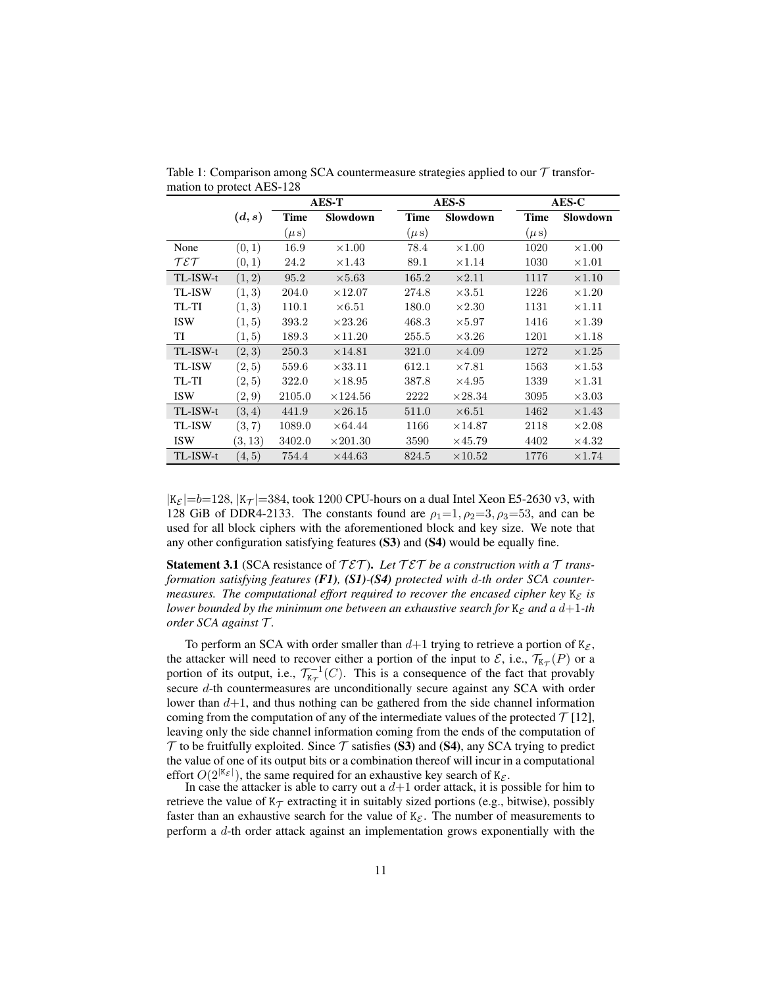|                                       |         | <b>AES-T</b> |                 |           | AES-S           |           | AES-C         |  |
|---------------------------------------|---------|--------------|-----------------|-----------|-----------------|-----------|---------------|--|
|                                       | (d,s)   | <b>Time</b>  | <b>Slowdown</b> | Time      | <b>Slowdown</b> | Time      | Slowdown      |  |
|                                       |         | $(\mu s)$    |                 | $(\mu s)$ |                 | $(\mu s)$ |               |  |
| None                                  | (0, 1)  | 16.9         | $\times1.00$    | 78.4      | $\times1.00$    | 1020      | $\times1.00$  |  |
| $\mathcal{T} \mathcal{E} \mathcal{T}$ | (0,1)   | 24.2         | $\times1.43$    | 89.1      | $\times1.14$    | 1030      | $\times1.01$  |  |
| TL-ISW-t                              | (1, 2)  | 95.2         | $\times 5.63$   | 165.2     | $\times 2.11$   | 1117      | $\times1.10$  |  |
| <b>TL-ISW</b>                         | (1, 3)  | 204.0        | $\times12.07$   | 274.8     | $\times 3.51$   | 1226      | $\times1.20$  |  |
| TL-TI                                 | (1, 3)  | 110.1        | $\times 6.51$   | 180.0     | $\times 2.30$   | 1131      | $\times 1.11$ |  |
| <b>ISW</b>                            | (1, 5)  | 393.2        | $\times 23.26$  | 468.3     | $\times 5.97$   | 1416      | $\times1.39$  |  |
| TI                                    | (1, 5)  | 189.3        | $\times 11.20$  | 255.5     | $\times3.26$    | 1201      | $\times1.18$  |  |
| TL-ISW-t                              | (2, 3)  | 250.3        | $\times$ 14.81  | 321.0     | $\times4.09$    | 1272      | $\times1.25$  |  |
| <b>TL-ISW</b>                         | (2, 5)  | 559.6        | $\times 33.11$  | 612.1     | $\times 7.81$   | 1563      | $\times1.53$  |  |
| TL-TI                                 | (2, 5)  | 322.0        | $\times18.95$   | 387.8     | $\times4.95$    | 1339      | $\times 1.31$ |  |
| <b>ISW</b>                            | (2,9)   | 2105.0       | $\times$ 124.56 | 2222      | $\times 28.34$  | 3095      | $\times3.03$  |  |
| TL-ISW-t                              | (3, 4)  | 441.9        | $\times 26.15$  | 511.0     | $\times 6.51$   | 1462      | $\times 1.43$ |  |
| <b>TL-ISW</b>                         | (3, 7)  | 1089.0       | $\times 64.44$  | 1166      | $\times 14.87$  | 2118      | $\times 2.08$ |  |
| <b>ISW</b>                            | (3, 13) | 3402.0       | $\times 201.30$ | 3590      | $\times 45.79$  | 4402      | $\times 4.32$ |  |
| TL-ISW-t                              | (4, 5)  | 754.4        | $\times 44.63$  | 824.5     | $\times$ 10.52  | 1776      | $\times1.74$  |  |

Table 1: Comparison among SCA countermeasure strategies applied to our  $\mathcal T$  transformation to protect AES-128

 $|K_{\mathcal{E}}| = b=128$ ,  $|K_{\mathcal{T}}| = 384$ , took 1200 CPU-hours on a dual Intel Xeon E5-2630 v3, with 128 GiB of DDR4-2133. The constants found are  $\rho_1=1, \rho_2=3, \rho_3=53$ , and can be used for all block ciphers with the aforementioned block and key size. We note that any other configuration satisfying features (S3) and (S4) would be equally fine.

Statement 3.1 (SCA resistance of  $T \mathcal{E} \mathcal{T}$ ). Let  $T \mathcal{E} \mathcal{T}$  be a construction with a  $\mathcal{T}$  trans*formation satisfying features (F1), (S1)-(S4) protected with* d*-th order SCA countermeasures. The computational effort required to recover the encased cipher key*  $K_{\mathcal{E}}$  *is lower bounded by the minimum one between an exhaustive search for*  $K_{\mathcal{E}}$  *and a d*+1*-th order SCA against* T *.*

To perform an SCA with order smaller than  $d+1$  trying to retrieve a portion of  $K_{\mathcal{E}}$ , the attacker will need to recover either a portion of the input to  $\mathcal{E}$ , i.e.,  $\mathcal{T}_{K_{\mathcal{T}}}(P)$  or a portion of its output, i.e.,  $\mathcal{T}_{K_{\mathcal{T}}}^{-1}(C)$ . This is a consequence of the fact that provably secure d-th countermeasures are unconditionally secure against any SCA with order lower than  $d+1$ , and thus nothing can be gathered from the side channel information coming from the computation of any of the intermediate values of the protected  $\mathcal{T}$  [12], leaving only the side channel information coming from the ends of the computation of  $\mathcal T$  to be fruitfully exploited. Since  $\mathcal T$  satisfies (S3) and (S4), any SCA trying to predict the value of one of its output bits or a combination thereof will incur in a computational effort  $O(2^{|K_{\mathcal{E}}|})$ , the same required for an exhaustive key search of K<sub> $\mathcal{E}$ </sub>.

In case the attacker is able to carry out a  $d+1$  order attack, it is possible for him to retrieve the value of  $K_{\mathcal{T}}$  extracting it in suitably sized portions (e.g., bitwise), possibly faster than an exhaustive search for the value of  $K_{\mathcal{E}}$ . The number of measurements to perform a d-th order attack against an implementation grows exponentially with the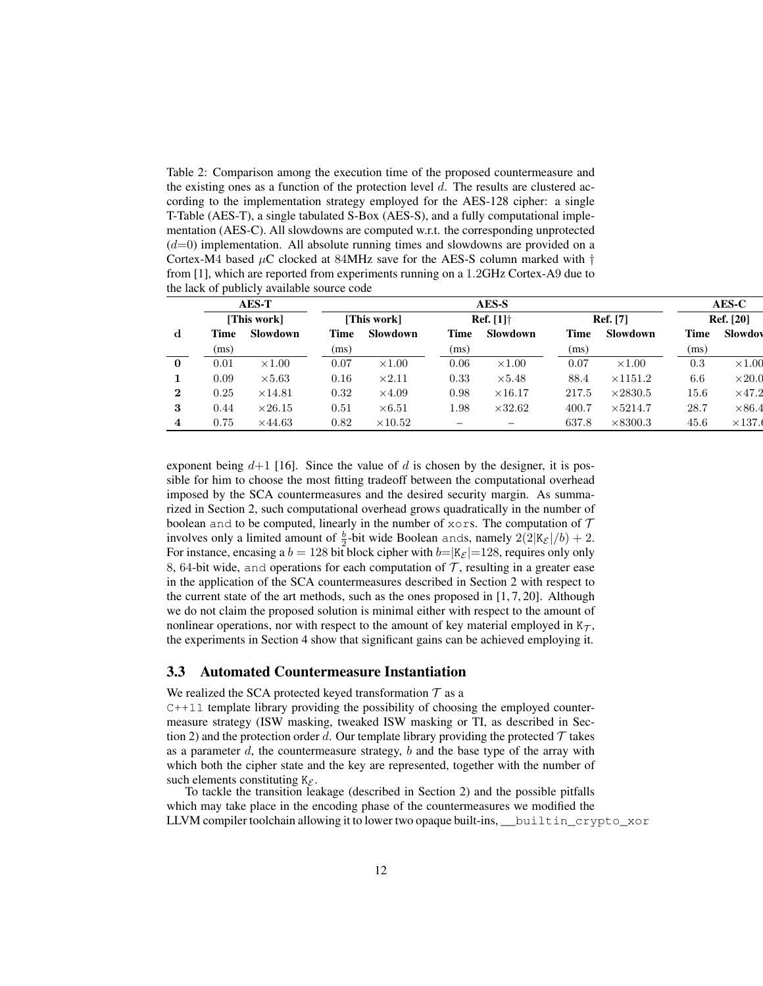Table 2: Comparison among the execution time of the proposed countermeasure and the existing ones as a function of the protection level  $d$ . The results are clustered according to the implementation strategy employed for the AES-128 cipher: a single T-Table (AES-T), a single tabulated S-Box (AES-S), and a fully computational implementation (AES-C). All slowdowns are computed w.r.t. the corresponding unprotected  $(d=0)$  implementation. All absolute running times and slowdowns are provided on a Cortex-M4 based  $\mu$ C clocked at 84MHz save for the AES-S column marked with  $\dagger$ from [1], which are reported from experiments running on a 1.2GHz Cortex-A9 due to the lack of publicly available source code

|                  |             | <b>AES-T</b>    |      |                |      | AES-S                                             |             |                 |             | AES-C            |
|------------------|-------------|-----------------|------|----------------|------|---------------------------------------------------|-------------|-----------------|-------------|------------------|
|                  |             | [This work]     |      | [This work]    |      | <b>Ref.</b> $[1]$ <sup><math>\dagger</math></sup> |             | <b>Ref.</b> [7] |             | <b>Ref.</b> [20] |
| d                | <b>Time</b> | <b>Slowdown</b> | Time | Slowdown       | Time | Slowdown                                          | <b>Time</b> | Slowdown        | <b>Time</b> | Slowdow          |
|                  | (ms)        |                 | (ms) |                | (ms) |                                                   | (ms)        |                 | (ms)        |                  |
| $\bf{0}$         | 0.01        | $\times1.00$    | 0.07 | $\times1.00$   | 0.06 | $\times1.00$                                      | 0.07        | $\times1.00$    | 0.3         | $\times1.00$     |
|                  | 0.09        | $\times 5.63$   | 0.16 | $\times 2.11$  | 0.33 | $\times 5.48$                                     | 88.4        | $\times$ 1151.2 | 6.6         | $\times 20.0$    |
| $\boldsymbol{2}$ | 0.25        | $\times$ 14.81  | 0.32 | $\times4.09$   | 0.98 | $\times$ 16.17                                    | 217.5       | $\times 2830.5$ | 15.6        | $\times$ 47.2    |
| 3                | 0.44        | $\times 26.15$  | 0.51 | $\times 6.51$  | 1.98 | $\times 32.62$                                    | 400.7       | $\times 5214.7$ | 28.7        | $\times 86.4$    |
| 4                | 0.75        | $\times$ 44.63  | 0.82 | $\times 10.52$ |      |                                                   | 637.8       | $\times 8300.3$ | 45.6        | $\times$ 137.    |

exponent being  $d+1$  [16]. Since the value of d is chosen by the designer, it is possible for him to choose the most fitting tradeoff between the computational overhead imposed by the SCA countermeasures and the desired security margin. As summarized in Section 2, such computational overhead grows quadratically in the number of boolean and to be computed, linearly in the number of  $x \circ rs$ . The computation of  $\mathcal T$ involves only a limited amount of  $\frac{b}{2}$ -bit wide Boolean ands, namely  $2(2|K_{\mathcal{E}}|/b) + 2$ . For instance, encasing a  $b = 128$  bit block cipher with  $b=|K_{\mathcal{E}}|=128$ , requires only only 8, 64-bit wide, and operations for each computation of  $\mathcal{T}$ , resulting in a greater ease in the application of the SCA countermeasures described in Section 2 with respect to the current state of the art methods, such as the ones proposed in [1, 7, 20]. Although we do not claim the proposed solution is minimal either with respect to the amount of nonlinear operations, nor with respect to the amount of key material employed in  $K_{\mathcal{T}}$ , the experiments in Section 4 show that significant gains can be achieved employing it.

#### 3.3 Automated Countermeasure Instantiation

We realized the SCA protected keyed transformation  $T$  as a

 $C++11$  template library providing the possibility of choosing the employed countermeasure strategy (ISW masking, tweaked ISW masking or TI, as described in Section 2) and the protection order d. Our template library providing the protected  $\mathcal T$  takes as a parameter  $d$ , the countermeasure strategy,  $b$  and the base type of the array with which both the cipher state and the key are represented, together with the number of such elements constituting  $K_{\mathcal{E}}$ .

To tackle the transition leakage (described in Section 2) and the possible pitfalls which may take place in the encoding phase of the countermeasures we modified the LLVM compiler toolchain allowing it to lower two opaque built-ins, \_\_builtin\_crypto\_xor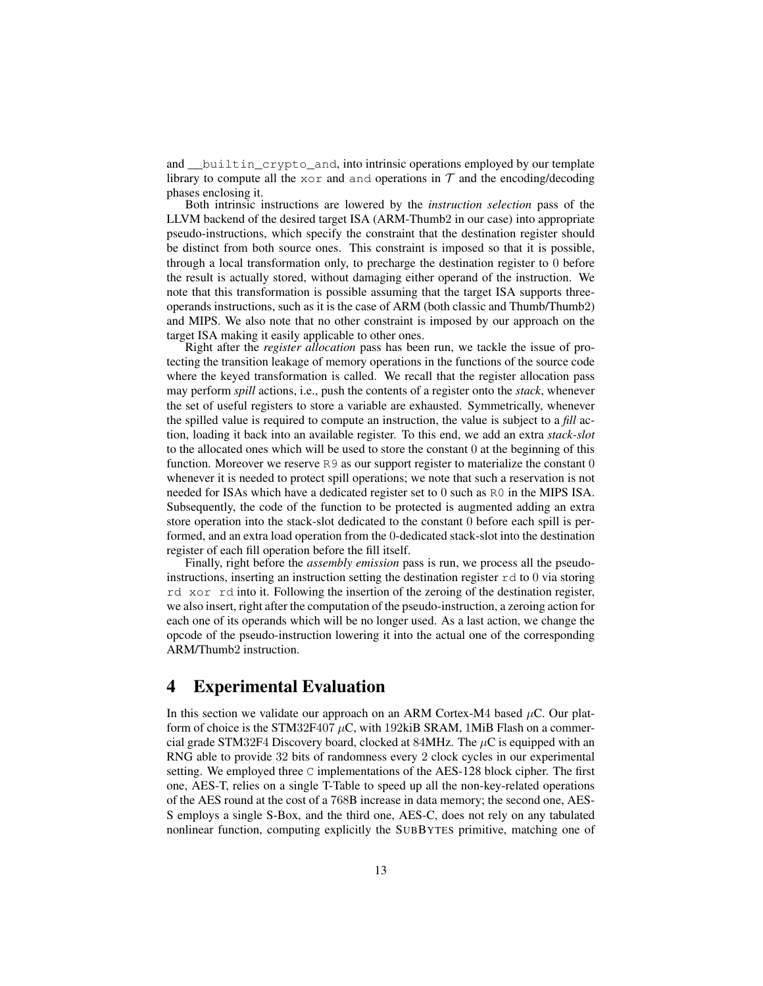and \_\_builtin\_crypto\_and, into intrinsic operations employed by our template library to compute all the xor and and operations in  $\mathcal T$  and the encoding/decoding phases enclosing it.

Both intrinsic instructions are lowered by the *instruction selection* pass of the LLVM backend of the desired target ISA (ARM-Thumb2 in our case) into appropriate pseudo-instructions, which specify the constraint that the destination register should be distinct from both source ones. This constraint is imposed so that it is possible, through a local transformation only, to precharge the destination register to 0 before the result is actually stored, without damaging either operand of the instruction. We note that this transformation is possible assuming that the target ISA supports threeoperands instructions, such as it is the case of ARM (both classic and Thumb/Thumb2) and MIPS. We also note that no other constraint is imposed by our approach on the target ISA making it easily applicable to other ones.

Right after the *register allocation* pass has been run, we tackle the issue of protecting the transition leakage of memory operations in the functions of the source code where the keyed transformation is called. We recall that the register allocation pass may perform *spill* actions, i.e., push the contents of a register onto the *stack*, whenever the set of useful registers to store a variable are exhausted. Symmetrically, whenever the spilled value is required to compute an instruction, the value is subject to a *fill* action, loading it back into an available register. To this end, we add an extra *stack-slot* to the allocated ones which will be used to store the constant 0 at the beginning of this function. Moreover we reserve R9 as our support register to materialize the constant 0 whenever it is needed to protect spill operations; we note that such a reservation is not needed for ISAs which have a dedicated register set to 0 such as R0 in the MIPS ISA. Subsequently, the code of the function to be protected is augmented adding an extra store operation into the stack-slot dedicated to the constant 0 before each spill is performed, and an extra load operation from the 0-dedicated stack-slot into the destination register of each fill operation before the fill itself.

Finally, right before the *assembly emission* pass is run, we process all the pseudoinstructions, inserting an instruction setting the destination register  $r d t$  to 0 via storing rd xor rd into it. Following the insertion of the zeroing of the destination register, we also insert, right after the computation of the pseudo-instruction, a zeroing action for each one of its operands which will be no longer used. As a last action, we change the opcode of the pseudo-instruction lowering it into the actual one of the corresponding ARM/Thumb2 instruction.

## 4 Experimental Evaluation

In this section we validate our approach on an ARM Cortex-M4 based  $\mu$ C. Our platform of choice is the STM32F407  $\mu$ C, with 192kiB SRAM, 1MiB Flash on a commercial grade STM32F4 Discovery board, clocked at 84MHz. The  $\mu$ C is equipped with an RNG able to provide 32 bits of randomness every 2 clock cycles in our experimental setting. We employed three C implementations of the AES-128 block cipher. The first one, AES-T, relies on a single T-Table to speed up all the non-key-related operations of the AES round at the cost of a 768B increase in data memory; the second one, AES-S employs a single S-Box, and the third one, AES-C, does not rely on any tabulated nonlinear function, computing explicitly the SUBBYTES primitive, matching one of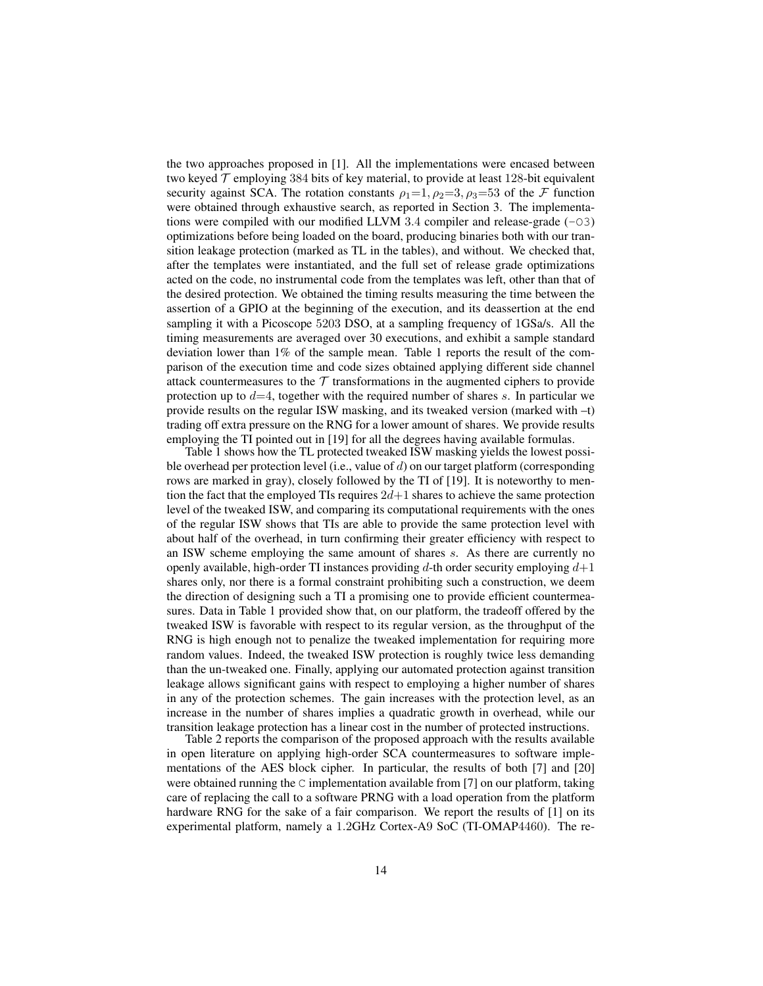the two approaches proposed in [1]. All the implementations were encased between two keyed  $\mathcal T$  employing 384 bits of key material, to provide at least 128-bit equivalent security against SCA. The rotation constants  $\rho_1=1, \rho_2=3, \rho_3=53$  of the F function were obtained through exhaustive search, as reported in Section 3. The implementations were compiled with our modified LLVM 3.4 compiler and release-grade  $(-03)$ optimizations before being loaded on the board, producing binaries both with our transition leakage protection (marked as TL in the tables), and without. We checked that, after the templates were instantiated, and the full set of release grade optimizations acted on the code, no instrumental code from the templates was left, other than that of the desired protection. We obtained the timing results measuring the time between the assertion of a GPIO at the beginning of the execution, and its deassertion at the end sampling it with a Picoscope 5203 DSO, at a sampling frequency of 1GSa/s. All the timing measurements are averaged over 30 executions, and exhibit a sample standard deviation lower than 1% of the sample mean. Table 1 reports the result of the comparison of the execution time and code sizes obtained applying different side channel attack countermeasures to the  $\mathcal T$  transformations in the augmented ciphers to provide protection up to  $d=4$ , together with the required number of shares s. In particular we provide results on the regular ISW masking, and its tweaked version (marked with –t) trading off extra pressure on the RNG for a lower amount of shares. We provide results employing the TI pointed out in [19] for all the degrees having available formulas.

Table 1 shows how the TL protected tweaked ISW masking yields the lowest possible overhead per protection level (i.e., value of d) on our target platform (corresponding rows are marked in gray), closely followed by the TI of [19]. It is noteworthy to mention the fact that the employed TIs requires  $2d+1$  shares to achieve the same protection level of the tweaked ISW, and comparing its computational requirements with the ones of the regular ISW shows that TIs are able to provide the same protection level with about half of the overhead, in turn confirming their greater efficiency with respect to an ISW scheme employing the same amount of shares s. As there are currently no openly available, high-order TI instances providing d-th order security employing  $d+1$ shares only, nor there is a formal constraint prohibiting such a construction, we deem the direction of designing such a TI a promising one to provide efficient countermeasures. Data in Table 1 provided show that, on our platform, the tradeoff offered by the tweaked ISW is favorable with respect to its regular version, as the throughput of the RNG is high enough not to penalize the tweaked implementation for requiring more random values. Indeed, the tweaked ISW protection is roughly twice less demanding than the un-tweaked one. Finally, applying our automated protection against transition leakage allows significant gains with respect to employing a higher number of shares in any of the protection schemes. The gain increases with the protection level, as an increase in the number of shares implies a quadratic growth in overhead, while our transition leakage protection has a linear cost in the number of protected instructions.

Table 2 reports the comparison of the proposed approach with the results available in open literature on applying high-order SCA countermeasures to software implementations of the AES block cipher. In particular, the results of both [7] and [20] were obtained running the C implementation available from [7] on our platform, taking care of replacing the call to a software PRNG with a load operation from the platform hardware RNG for the sake of a fair comparison. We report the results of [1] on its experimental platform, namely a 1.2GHz Cortex-A9 SoC (TI-OMAP4460). The re-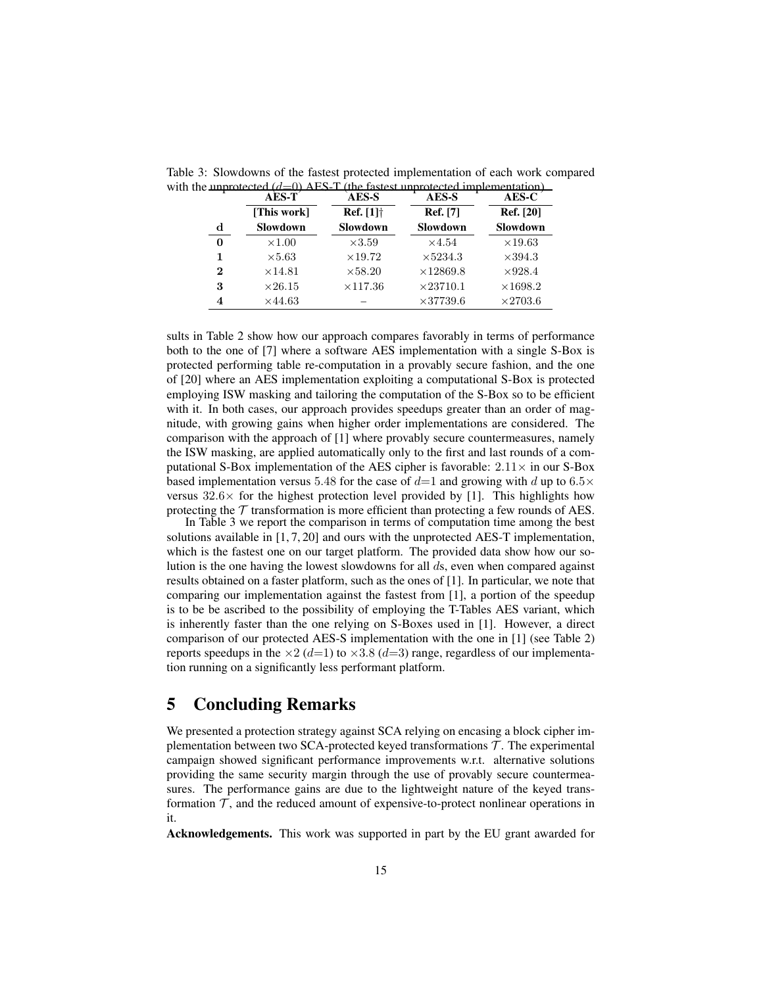|          | <b>AES-T</b>   | AES-S               | AES-S            | $AES-C$          |  |
|----------|----------------|---------------------|------------------|------------------|--|
|          | [This work]    | <b>Ref.</b> $[1]$ † | <b>Ref.</b> [7]  | <b>Ref.</b> [20] |  |
| d        | Slowdown       | Slowdown            | Slowdown         | Slowdown         |  |
| 0        | $\times1.00$   | $\times3.59$        | $\times4.54$     | $\times$ 19.63   |  |
|          | $\times 5.63$  | $\times$ 19.72      | $\times$ 5234.3  | $\times 394.3$   |  |
| $\bf{2}$ | $\times$ 14.81 | $\times$ 58.20      | $\times 12869.8$ | $\times$ 928.4   |  |
| 3        | $\times 26.15$ | $\times$ 117.36     | $\times 23710.1$ | $\times 1698.2$  |  |
|          | $\times$ 44.63 |                     | $\times 37739.6$ | $\times$ 2703.6  |  |

Table 3: Slowdowns of the fastest protected implementation of each work compared with the unprotected  $(d=0)$  AES-T (the fastest unprotected implementation)

sults in Table 2 show how our approach compares favorably in terms of performance both to the one of [7] where a software AES implementation with a single S-Box is protected performing table re-computation in a provably secure fashion, and the one of [20] where an AES implementation exploiting a computational S-Box is protected employing ISW masking and tailoring the computation of the S-Box so to be efficient with it. In both cases, our approach provides speedups greater than an order of magnitude, with growing gains when higher order implementations are considered. The comparison with the approach of [1] where provably secure countermeasures, namely the ISW masking, are applied automatically only to the first and last rounds of a computational S-Box implementation of the AES cipher is favorable:  $2.11 \times$  in our S-Box based implementation versus 5.48 for the case of  $d=1$  and growing with d up to 6.5 $\times$ versus  $32.6\times$  for the highest protection level provided by [1]. This highlights how protecting the  $\mathcal T$  transformation is more efficient than protecting a few rounds of AES.

In Table 3 we report the comparison in terms of computation time among the best solutions available in  $[1, 7, 20]$  and ours with the unprotected AES-T implementation, which is the fastest one on our target platform. The provided data show how our solution is the one having the lowest slowdowns for all ds, even when compared against results obtained on a faster platform, such as the ones of [1]. In particular, we note that comparing our implementation against the fastest from [1], a portion of the speedup is to be be ascribed to the possibility of employing the T-Tables AES variant, which is inherently faster than the one relying on S-Boxes used in [1]. However, a direct comparison of our protected AES-S implementation with the one in [1] (see Table 2) reports speedups in the  $\times$ 2 (d=1) to  $\times$ 3.8 (d=3) range, regardless of our implementation running on a significantly less performant platform.

## 5 Concluding Remarks

We presented a protection strategy against SCA relying on encasing a block cipher implementation between two SCA-protected keyed transformations  $\mathcal{T}$ . The experimental campaign showed significant performance improvements w.r.t. alternative solutions providing the same security margin through the use of provably secure countermeasures. The performance gains are due to the lightweight nature of the keyed transformation  $\mathcal{T}$ , and the reduced amount of expensive-to-protect nonlinear operations in it.

Acknowledgements. This work was supported in part by the EU grant awarded for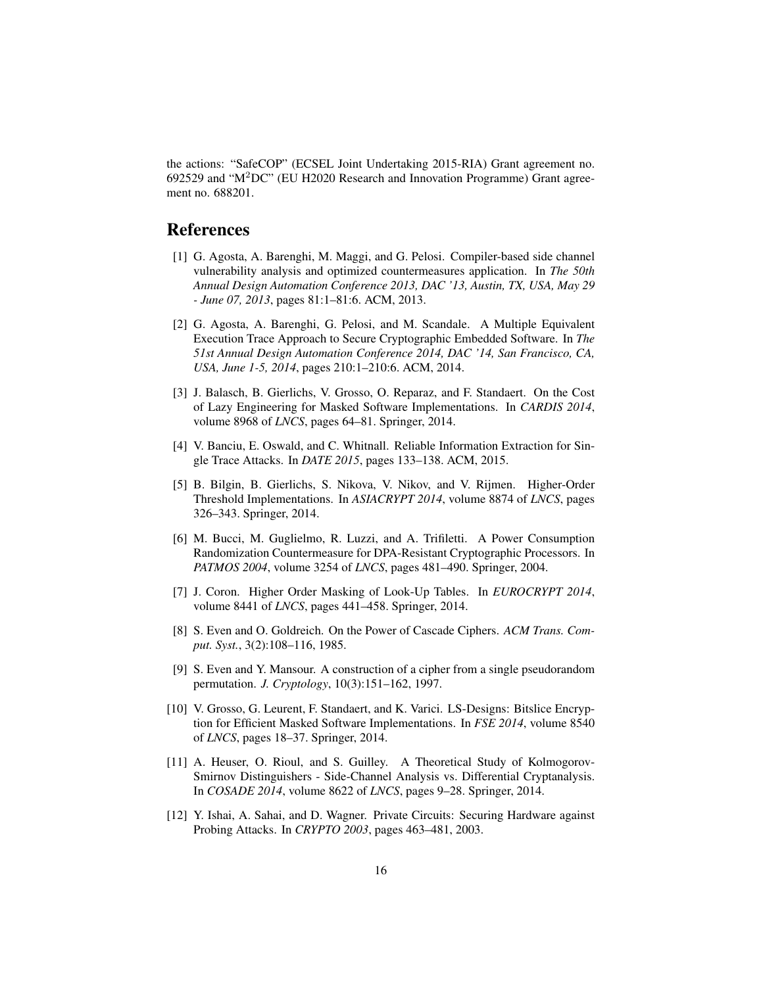the actions: "SafeCOP" (ECSEL Joint Undertaking 2015-RIA) Grant agreement no. 692529 and "M2DC" (EU H2020 Research and Innovation Programme) Grant agreement no. 688201.

# References

- [1] G. Agosta, A. Barenghi, M. Maggi, and G. Pelosi. Compiler-based side channel vulnerability analysis and optimized countermeasures application. In *The 50th Annual Design Automation Conference 2013, DAC '13, Austin, TX, USA, May 29 - June 07, 2013*, pages 81:1–81:6. ACM, 2013.
- [2] G. Agosta, A. Barenghi, G. Pelosi, and M. Scandale. A Multiple Equivalent Execution Trace Approach to Secure Cryptographic Embedded Software. In *The 51st Annual Design Automation Conference 2014, DAC '14, San Francisco, CA, USA, June 1-5, 2014*, pages 210:1–210:6. ACM, 2014.
- [3] J. Balasch, B. Gierlichs, V. Grosso, O. Reparaz, and F. Standaert. On the Cost of Lazy Engineering for Masked Software Implementations. In *CARDIS 2014*, volume 8968 of *LNCS*, pages 64–81. Springer, 2014.
- [4] V. Banciu, E. Oswald, and C. Whitnall. Reliable Information Extraction for Single Trace Attacks. In *DATE 2015*, pages 133–138. ACM, 2015.
- [5] B. Bilgin, B. Gierlichs, S. Nikova, V. Nikov, and V. Rijmen. Higher-Order Threshold Implementations. In *ASIACRYPT 2014*, volume 8874 of *LNCS*, pages 326–343. Springer, 2014.
- [6] M. Bucci, M. Guglielmo, R. Luzzi, and A. Trifiletti. A Power Consumption Randomization Countermeasure for DPA-Resistant Cryptographic Processors. In *PATMOS 2004*, volume 3254 of *LNCS*, pages 481–490. Springer, 2004.
- [7] J. Coron. Higher Order Masking of Look-Up Tables. In *EUROCRYPT 2014*, volume 8441 of *LNCS*, pages 441–458. Springer, 2014.
- [8] S. Even and O. Goldreich. On the Power of Cascade Ciphers. *ACM Trans. Comput. Syst.*, 3(2):108–116, 1985.
- [9] S. Even and Y. Mansour. A construction of a cipher from a single pseudorandom permutation. *J. Cryptology*, 10(3):151–162, 1997.
- [10] V. Grosso, G. Leurent, F. Standaert, and K. Varici. LS-Designs: Bitslice Encryption for Efficient Masked Software Implementations. In *FSE 2014*, volume 8540 of *LNCS*, pages 18–37. Springer, 2014.
- [11] A. Heuser, O. Rioul, and S. Guilley. A Theoretical Study of Kolmogorov-Smirnov Distinguishers - Side-Channel Analysis vs. Differential Cryptanalysis. In *COSADE 2014*, volume 8622 of *LNCS*, pages 9–28. Springer, 2014.
- [12] Y. Ishai, A. Sahai, and D. Wagner. Private Circuits: Securing Hardware against Probing Attacks. In *CRYPTO 2003*, pages 463–481, 2003.